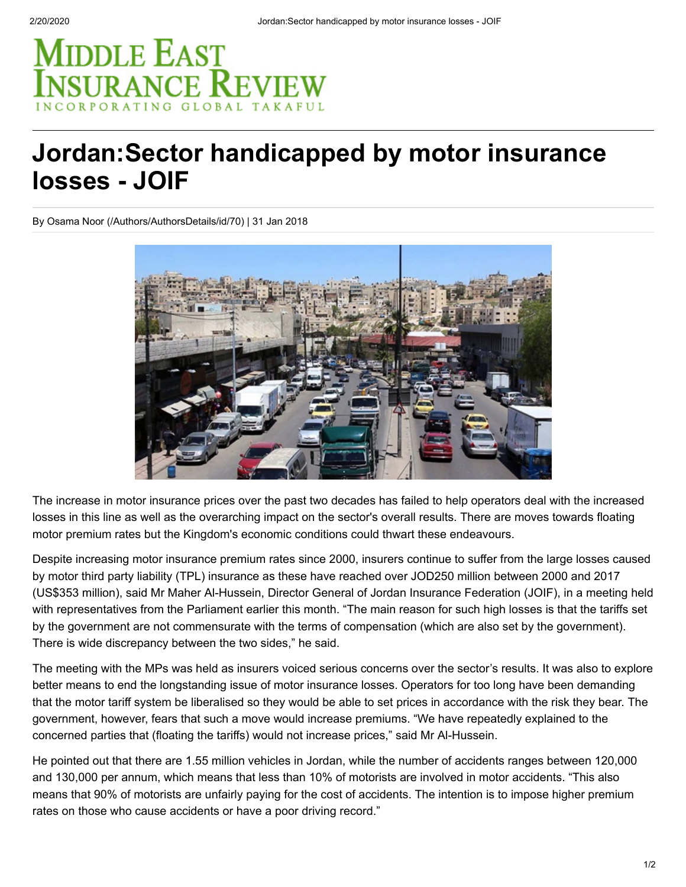## MIDDLE EAST **ISURANCE REVIE**

## **Jordan:Sector handicapped by motor insurance losses - JOIF**

[By Osama Noor \(/Authors/AuthorsDetails/id/70\)](https://www.meinsurancereview.com/Authors/AuthorsDetails/id/70) | 31 Jan 2018



The increase in motor insurance prices over the past two decades has failed to help operators deal with the increased losses in this line as well as the overarching impact on the sector's overall results. There are moves towards floating motor premium rates but the Kingdom's economic conditions could thwart these endeavours.

Despite increasing motor insurance premium rates since 2000, insurers continue to suffer from the large losses caused by motor third party liability (TPL) insurance as these have reached over JOD250 million between 2000 and 2017 (US\$353 million), said Mr Maher Al-Hussein, Director General of Jordan Insurance Federation (JOIF), in a meeting held with representatives from the Parliament earlier this month. "The main reason for such high losses is that the tariffs set by the government are not commensurate with the terms of compensation (which are also set by the government). There is wide discrepancy between the two sides," he said.

The meeting with the MPs was held as insurers voiced serious concerns over the sector's results. It was also to explore better means to end the longstanding issue of motor insurance losses. Operators for too long have been demanding that the motor tariff system be liberalised so they would be able to set prices in accordance with the risk they bear. The government, however, fears that such a move would increase premiums. "We have repeatedly explained to the concerned parties that (floating the tariffs) would not increase prices," said Mr Al-Hussein.

He pointed out that there are 1.55 million vehicles in Jordan, while the number of accidents ranges between 120,000 and 130,000 per annum, which means that less than 10% of motorists are involved in motor accidents. "This also means that 90% of motorists are unfairly paying for the cost of accidents. The intention is to impose higher premium rates on those who cause accidents or have a poor driving record."